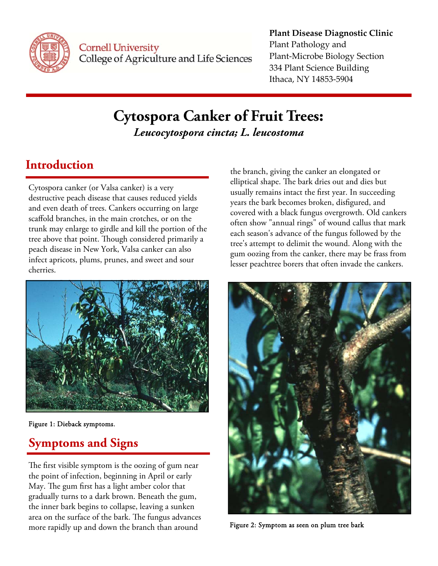

**Cornell University** College of Agriculture and Life Sciences

## **Plant Disease Diagnostic Clinic** Plant Pathology and Plant‐Microbe Biology Section 334 Plant Science Building Ithaca, NY 14853‐5904

# **Cytospora Canker of Fruit Trees:**  *Leucocytospora cincta; L. leucostoma*

# **Introduction**

Cytospora canker (or Valsa canker) is a very destructive peach disease that causes reduced yields and even death of trees. Cankers occurring on large scaffold branches, in the main crotches, or on the trunk may enlarge to girdle and kill the portion of the tree above that point. Though considered primarily a peach disease in New York, Valsa canker can also infect apricots, plums, prunes, and sweet and sour cherries.



Figure 1: Dieback symptoms.

# **Symptoms and Signs**

The first visible symptom is the oozing of gum near the point of infection, beginning in April or early May. The gum first has a light amber color that gradually turns to a dark brown. Beneath the gum, the inner bark begins to collapse, leaving a sunken area on the surface of the bark. The fungus advances more rapidly up and down the branch than around

the branch, giving the canker an elongated or elliptical shape. The bark dries out and dies but usually remains intact the first year. In succeeding years the bark becomes broken, disfigured, and covered with a black fungus overgrowth. Old cankers often show "annual rings" of wound callus that mark each season's advance of the fungus followed by the tree's attempt to delimit the wound. Along with the gum oozing from the canker, there may be frass from lesser peachtree borers that often invade the cankers.



Figure 2: Symptom as seen on plum tree bark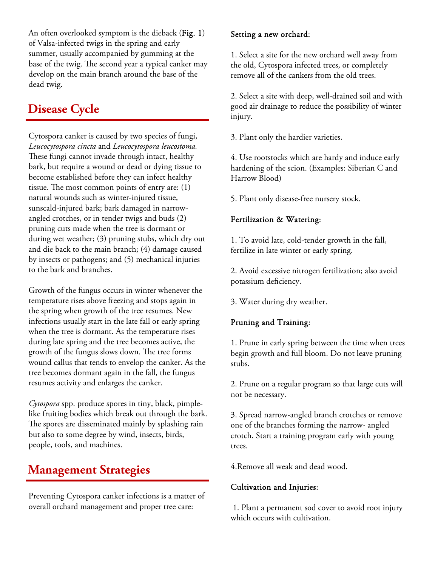An often overlooked symptom is the dieback (Fig. 1) of Valsa-infected twigs in the spring and early summer, usually accompanied by gumming at the base of the twig. The second year a typical canker may develop on the main branch around the base of the dead twig.

# **Disease Cycle**

Cytospora canker is caused by two species of fungi, *Leucocytospora cincta* and *Leucocytospora leucostoma.*  These fungi cannot invade through intact, healthy bark, but require a wound or dead or dying tissue to become established before they can infect healthy tissue. The most common points of entry are: (1) natural wounds such as winter-injured tissue, sunscald-injured bark; bark damaged in narrowangled crotches, or in tender twigs and buds (2) pruning cuts made when the tree is dormant or during wet weather; (3) pruning stubs, which dry out and die back to the main branch; (4) damage caused by insects or pathogens; and (5) mechanical injuries to the bark and branches.

Growth of the fungus occurs in winter whenever the temperature rises above freezing and stops again in the spring when growth of the tree resumes. New infections usually start in the late fall or early spring when the tree is dormant. As the temperature rises during late spring and the tree becomes active, the growth of the fungus slows down. The tree forms wound callus that tends to envelop the canker. As the tree becomes dormant again in the fall, the fungus resumes activity and enlarges the canker.

*Cytospora* spp. produce spores in tiny, black, pimplelike fruiting bodies which break out through the bark. The spores are disseminated mainly by splashing rain but also to some degree by wind, insects, birds, people, tools, and machines.

# **Management Strategies**

Preventing Cytospora canker infections is a matter of overall orchard management and proper tree care:

#### Setting a new orchard:

1. Select a site for the new orchard well away from the old, Cytospora infected trees, or completely remove all of the cankers from the old trees.

2. Select a site with deep, well-drained soil and with good air drainage to reduce the possibility of winter injury.

3. Plant only the hardier varieties.

4. Use rootstocks which are hardy and induce early hardening of the scion. (Examples: Siberian C and Harrow Blood)

5. Plant only disease-free nursery stock.

## Fertilization & Watering:

1. To avoid late, cold-tender growth in the fall, fertilize in late winter or early spring.

2. Avoid excessive nitrogen fertilization; also avoid potassium deficiency.

3. Water during dry weather.

## Pruning and Training:

1. Prune in early spring between the time when trees begin growth and full bloom. Do not leave pruning stubs.

2. Prune on a regular program so that large cuts will not be necessary.

3. Spread narrow-angled branch crotches or remove one of the branches forming the narrow- angled crotch. Start a training program early with young trees.

4.Remove all weak and dead wood.

### Cultivation and Injuries:

 1. Plant a permanent sod cover to avoid root injury which occurs with cultivation.